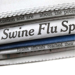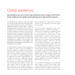## Global pandemics

We are likely to see two to three major pandemics start in regions with limited public healthcare and rapidly spread globally and so demand fast response.

Since the Spanish Flu pandemic of 1918, which killed over 50 million people and infected 500 million others, national governments have had an eve on the risks from widespread pandemics. With the advent of SARS a decade ago, the avian flu pandemic in Asia in 2007 and the swine flu (HINI) pandemic that started in Mexico in 2009, the incidence and impacts of such events are causing more and more concern at international levels. The reasons for this are threefold: I) the speed at which pandemics can spread around the world has significantly accelerated due to increasing mass air travel; 2) the consequential time available to track the source and initial progress is decreasing; and 3) the capability to get the right drugs into the right place at the right time is not necessarily up to the challenge.

To understand the implications of future pandemics, we need to be clear on what the difference is between a pandemic, an epidemic and an outbreak. The Center for Disease Control and Prevention (CDC) in the US defines an outbreak as simply the start of an infection in a localized geographic area. An epidemic occurs when a large geographic area is involved and which has a higher than expected mortality rate. A pandemic is a global outbreak that exceeds the 'normal' levels of mortality and infection levels for typical diseases. The key word here is 'global'. There are two major factors that effect whether or not an outbreak will lead to a pandemic: pathogenesis and virulence. Pathogenesis refers to how a virus will cause disease and how easily it is spread. The virulence refers to how sick a certain virus will make the host and how easily it can cause death

The World Health Organisation maps out a pandemic based on six distinct phases. Phase I is when non-human infections are spreading and there is no animal-to-human transmission. In Phase 2. an animal influenza virus, which is known to have caused infections in humans, circulates among nonhuman animals. Phase 3 sees animal-to-human transmission but no person-to-person transmission under normal conditions - when this is seen, the risk of pandemic rises. Phase 4 occurs when there is known human-to-human transmission of the virus. This allows outbreaks then epidemics to occur and even further increases risk of a pandemic. In phase 5, human-to-human spread is documented in at least two countries in one WHO region and may well indicate that a pandemic is imminent. Phase 6, the pandemic phase, is characterized by outbreaks in at least one other country in a different WHO region in addition to the two or more countries defined in phase 5. Designation of this phase indicates that a global pandemic is under way.

A core problem with pandemics is that 'they often arise in regions with low levels of public health and they rapidly spread across the world to more advanced countries'. It is highly unusual for one to start in, say, the US or Europe. In tracing the cause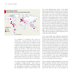

of a pandemic, it is therefore vital to focus on 'patient zero' - the first personal to become ill. So, for example, the 2009 swine flu pandemic started in Mexico and HINI patient zero was found in the village of La Gloria, Veracruz, next to a large industrial pig farm. Notably, this highlighted the rising risk from people and animals in many parts of the world increasingly sharing the same limited water sources. Although the 2009 pandemic was in some ways a false alarm, as mortality rates were not excessive, it is seen in many circles as a good model for how global health authorities will need to cooperate in the future when more lethal strains of virus spread.

The swine flu pandemic also highlighted the problems in availability of suitable vaccines - both in terms of the right drugs and their global distribution. Although the re-emergence of influenza as a pandemic threat has stimulated the influenza vaccines market to be

one of the fastest-growing sectors of the global pharmaceuticals industry, many see that current vaccines will not help in the future. A critical issue here is that the rate at which a virus variant can develop is faster than the speed at which new vaccines can be developed: unlike many other diseases where a known condition already has an established therapy in place, pandemics are often caused by new strains of virus and so need a new antiviral vaccine. Typically, creating the new vaccine takes around six months and so there is a significant gap between pandemic outbreak and treatment availability. Much hope is being pinned on DNA-based vaccines, where DNA rather than dead virus particles grown in eggs is used as the base for developing new vaccines. These offer the potential for quicker responses and so enable faster global distribution.

In the next decade, many healthcare organisations agree with Jack Lord's initial view that 'we will see two or three major pandemics that will have a significant global impact'. Given that Spanish flu killed around 3% of the world's population at the time and infected around a third, the consequences of a similar event today are massive. If, for example, a new strain of avian flu were to spread quickly from its source globally, then some estimate that as many as 3 billion people could be infected within twelve months. If the right vaccines are not developed and distributed quickly, one in five of these could die within the year. As was highlighted in one workshop: 'In many ways, a global pandemic has to be seen as a greater threat to us than nuclear terrorism and global warming combined.'

There is, therefore, a significant global focus on ensuring global cooperation between health authorities and on improved monitoring of populations. The WHO has already taken a lead in the former area and, as shown with swine flu, many of the processes are